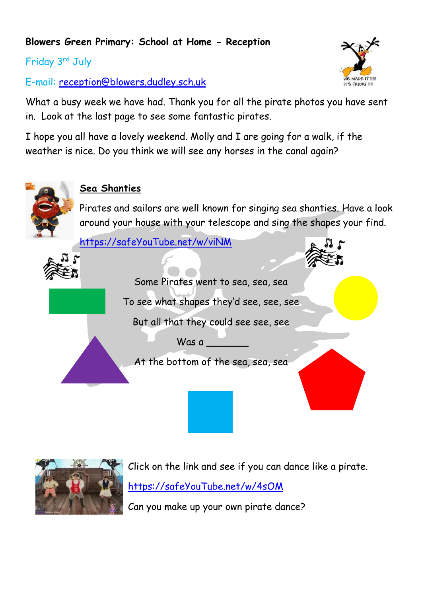### **Blowers Green Primary: School at Home - Reception**

Friday 3rd July

E-mail: [reception@blowers.dudley.sch.uk](mailto:reception@blowers.dudley.sch.uk)

What a busy week we have had. Thank you for all the pirate photos you have sent in. Look at the last page to see some fantastic pirates.

I hope you all have a lovely weekend. Molly and I are going for a walk, if the weather is nice. Do you think we will see any horses in the canal again?



### **Sea Shanties**

Pirates and sailors are well known for singing sea shanties. Have a look around your house with your telescope and sing the shapes your find.

[https://safeYouTube.net/w/viNM](https://safeyoutube.net/w/viNM)



Some Pirates went to sea, sea, sea To see what shapes they'd see, see, see

But all that they could see see, see

Was a \_\_\_\_\_\_\_

At the bottom of the sea, sea, sea



Click on the link and see if you can dance like a pirate. [https://safeYouTube.net/w/4sOM](https://safeyoutube.net/w/4sOM)

Can you make up your own pirate dance?

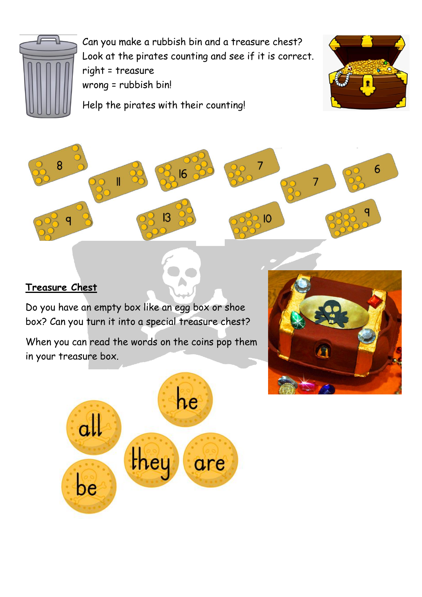

Can you make a rubbish bin and a treasure chest? Look at the pirates counting and see if it is correct. right = treasure wrong = rubbish bin!

Help the pirates with their counting!





## **Treasure Chest**

Do you have an empty box like an egg box or shoe box? Can you turn it into a special treasure chest?

When you can read the words on the coins pop them in your treasure box.



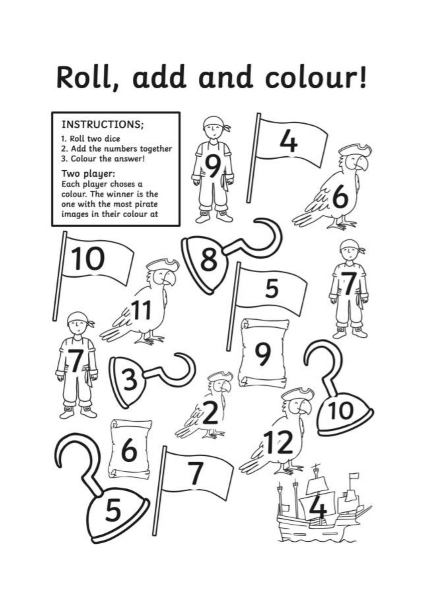# Roll, add and colour!